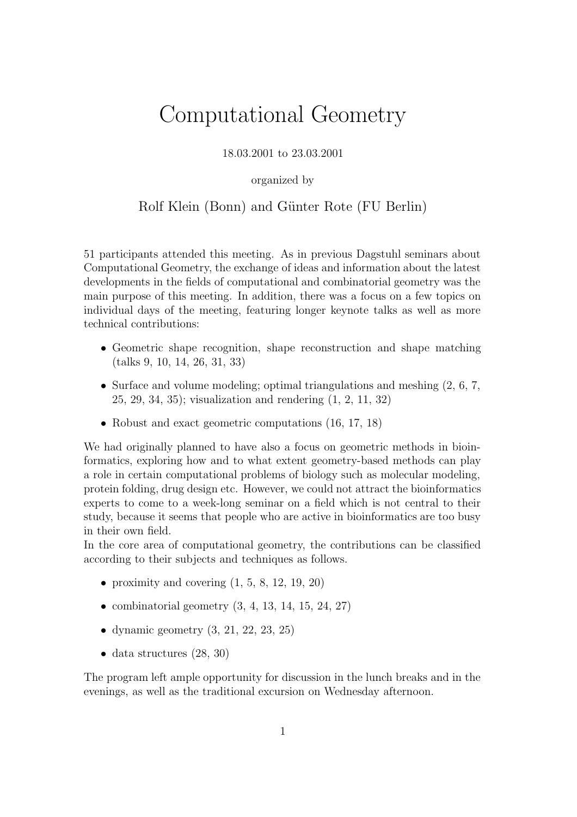# Computational Geometry

18.03.2001 to 23.03.2001

organized by

#### Rolf Klein (Bonn) and Günter Rote (FU Berlin)

51 participants attended this meeting. As in previous Dagstuhl seminars about Computational Geometry, the exchange of ideas and information about the latest developments in the fields of computational and combinatorial geometry was the main purpose of this meeting. In addition, there was a focus on a few topics on individual days of the meeting, featuring longer keynote talks as well as more technical contributions:

- Geometric shape recognition, shape reconstruction and shape matching (talks 9, 10, 14, 26, 31, 33)
- Surface and volume modeling; optimal triangulations and meshing  $(2, 6, 7, ...)$ 25, 29, 34, 35); visualization and rendering (1, 2, 11, 32)
- Robust and exact geometric computations  $(16, 17, 18)$

We had originally planned to have also a focus on geometric methods in bioinformatics, exploring how and to what extent geometry-based methods can play a role in certain computational problems of biology such as molecular modeling, protein folding, drug design etc. However, we could not attract the bioinformatics experts to come to a week-long seminar on a field which is not central to their study, because it seems that people who are active in bioinformatics are too busy in their own field.

In the core area of computational geometry, the contributions can be classified according to their subjects and techniques as follows.

- proximity and covering  $(1, 5, 8, 12, 19, 20)$
- combinatorial geometry  $(3, 4, 13, 14, 15, 24, 27)$
- dynamic geometry  $(3, 21, 22, 23, 25)$
- data structures  $(28, 30)$

The program left ample opportunity for discussion in the lunch breaks and in the evenings, as well as the traditional excursion on Wednesday afternoon.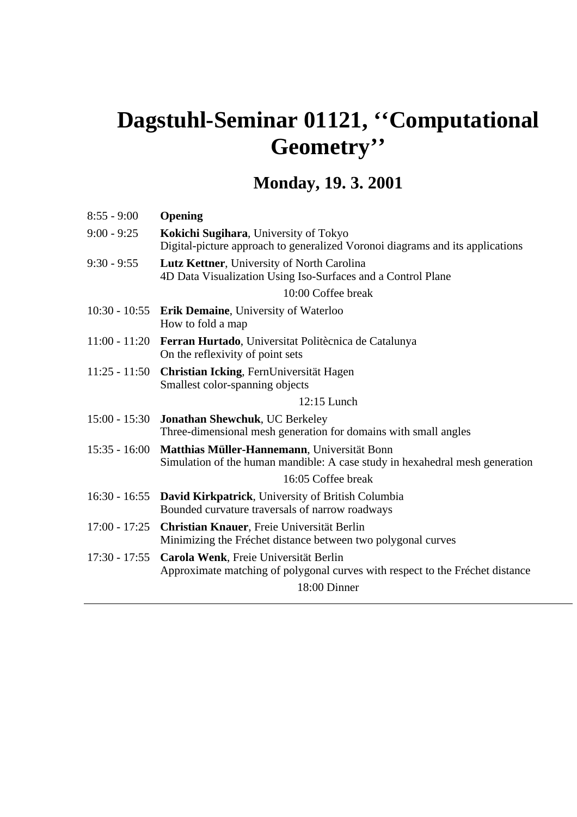# **Dagstuhl-Seminar 01121, ''Computational Geometry''**

# **Monday, 19. 3. 2001**

| $8:55 - 9:00$   | <b>Opening</b>                                                                                                                         |
|-----------------|----------------------------------------------------------------------------------------------------------------------------------------|
| $9:00 - 9:25$   | Kokichi Sugihara, University of Tokyo<br>Digital-picture approach to generalized Voronoi diagrams and its applications                 |
| $9:30 - 9:55$   | Lutz Kettner, University of North Carolina<br>4D Data Visualization Using Iso-Surfaces and a Control Plane                             |
|                 | 10:00 Coffee break                                                                                                                     |
|                 | 10:30 - 10:55 Erik Demaine, University of Waterloo<br>How to fold a map                                                                |
| $11:00 - 11:20$ | Ferran Hurtado, Universitat Politècnica de Catalunya<br>On the reflexivity of point sets                                               |
| $11:25 - 11:50$ | Christian Icking, FernUniversität Hagen<br>Smallest color-spanning objects                                                             |
|                 | $12:15$ Lunch                                                                                                                          |
| $15:00 - 15:30$ | Jonathan Shewchuk, UC Berkeley<br>Three-dimensional mesh generation for domains with small angles                                      |
| $15:35 - 16:00$ | Matthias Müller-Hannemann, Universität Bonn<br>Simulation of the human mandible: A case study in hexahedral mesh generation            |
|                 | 16:05 Coffee break                                                                                                                     |
| $16:30 - 16:55$ | David Kirkpatrick, University of British Columbia<br>Bounded curvature traversals of narrow roadways                                   |
| $17:00 - 17:25$ | Christian Knauer, Freie Universität Berlin<br>Minimizing the Fréchet distance between two polygonal curves                             |
| $17:30 - 17:55$ | Carola Wenk, Freie Universität Berlin<br>Approximate matching of polygonal curves with respect to the Fréchet distance<br>18:00 Dinner |
|                 |                                                                                                                                        |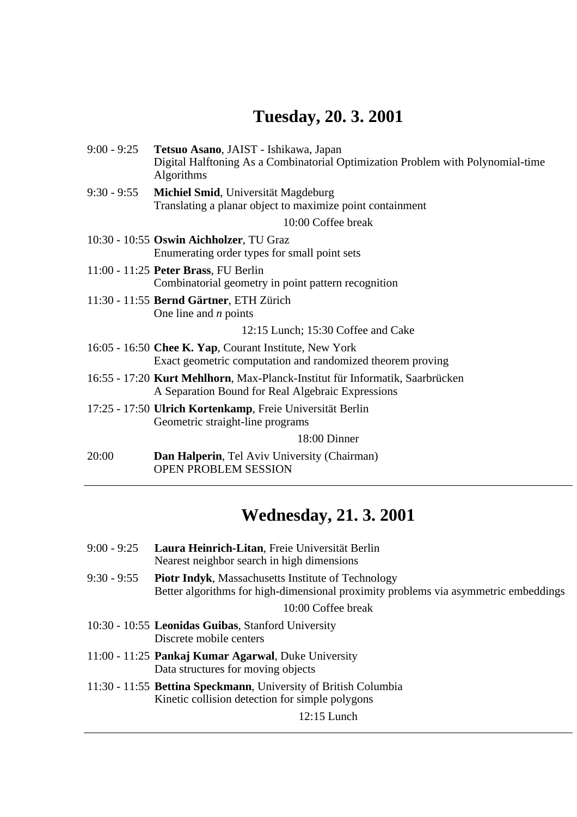# **Tuesday, 20. 3. 2001**

| $9:00 - 9:25$ | Tetsuo Asano, JAIST - Ishikawa, Japan<br>Digital Halftoning As a Combinatorial Optimization Problem with Polynomial-time<br>Algorithms |
|---------------|----------------------------------------------------------------------------------------------------------------------------------------|
| 9:30 - 9:55   | Michiel Smid, Universität Magdeburg<br>Translating a planar object to maximize point containment                                       |
|               | 10:00 Coffee break                                                                                                                     |
|               | 10:30 - 10:55 Oswin Aichholzer, TU Graz<br>Enumerating order types for small point sets                                                |
|               | 11:00 - 11:25 Peter Brass, FU Berlin<br>Combinatorial geometry in point pattern recognition                                            |
|               | 11:30 - 11:55 Bernd Gärtner, ETH Zürich<br>One line and $n$ points                                                                     |
|               | 12:15 Lunch; 15:30 Coffee and Cake                                                                                                     |
|               | 16:05 - 16:50 Chee K. Yap, Courant Institute, New York<br>Exact geometric computation and randomized theorem proving                   |
|               | 16:55 - 17:20 Kurt Mehlhorn, Max-Planck-Institut für Informatik, Saarbrücken<br>A Separation Bound for Real Algebraic Expressions      |
|               | 17:25 - 17:50 Ulrich Kortenkamp, Freie Universität Berlin<br>Geometric straight-line programs                                          |
|               | 18:00 Dinner                                                                                                                           |
| 20:00         | Dan Halperin, Tel Aviv University (Chairman)<br>OPEN PROBLEM SESSION                                                                   |

# **Wednesday, 21. 3. 2001**

| $9:00 - 9:25$ | Laura Heinrich-Litan, Freie Universität Berlin<br>Nearest neighbor search in high dimensions                                                     |
|---------------|--------------------------------------------------------------------------------------------------------------------------------------------------|
| $9:30 - 9:55$ | <b>Piotr Indyk, Massachusetts Institute of Technology</b><br>Better algorithms for high-dimensional proximity problems via asymmetric embeddings |
|               | 10:00 Coffee break                                                                                                                               |
|               | 10:30 - 10:55 Leonidas Guibas, Stanford University<br>Discrete mobile centers                                                                    |
|               | 11:00 - 11:25 Pankaj Kumar Agarwal, Duke University<br>Data structures for moving objects                                                        |
|               | 11:30 - 11:55 Bettina Speckmann, University of British Columbia<br>Kinetic collision detection for simple polygons                               |
|               | $12:15$ Lunch                                                                                                                                    |
|               |                                                                                                                                                  |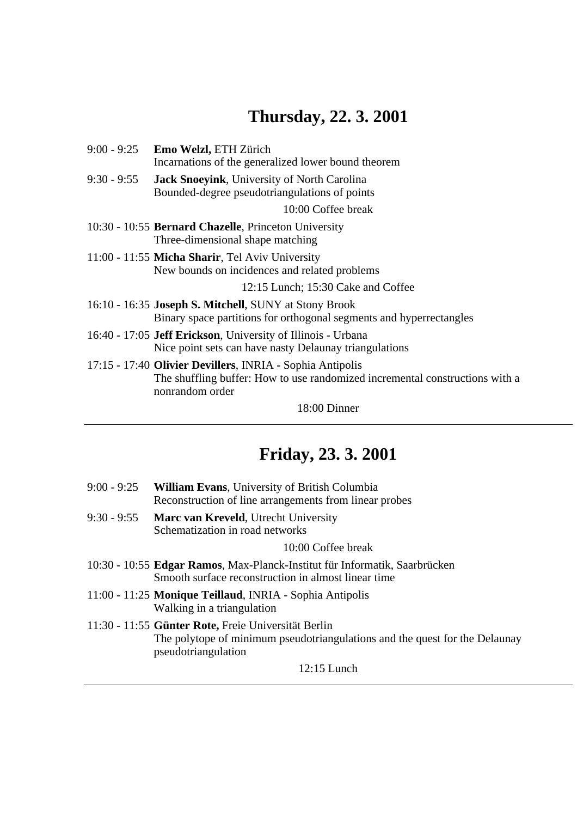# **Thursday, 22. 3. 2001**

| 9:00 - 9:25   | <b>Emo Welzl, ETH Zürich</b><br>Incarnations of the generalized lower bound theorem                                                                          |
|---------------|--------------------------------------------------------------------------------------------------------------------------------------------------------------|
| $9:30 - 9:55$ | Jack Snoeyink, University of North Carolina<br>Bounded-degree pseudotriangulations of points                                                                 |
|               | 10:00 Coffee break                                                                                                                                           |
|               | 10:30 - 10:55 <b>Bernard Chazelle</b> , Princeton University<br>Three-dimensional shape matching                                                             |
|               | 11:00 - 11:55 Micha Sharir, Tel Aviv University<br>New bounds on incidences and related problems                                                             |
|               | 12:15 Lunch; 15:30 Cake and Coffee                                                                                                                           |
|               | 16:10 - 16:35 Joseph S. Mitchell, SUNY at Stony Brook<br>Binary space partitions for orthogonal segments and hyperrectangles                                 |
|               | 16:40 - 17:05 Jeff Erickson, University of Illinois - Urbana<br>Nice point sets can have nasty Delaunay triangulations                                       |
|               | 17:15 - 17:40 Olivier Devillers, INRIA - Sophia Antipolis<br>The shuffling buffer: How to use randomized incremental constructions with a<br>nonrandom order |

18:00 Dinner

## **Friday, 23. 3. 2001**

| 9:00 - 9:25 William Evans, University of British Columbia |
|-----------------------------------------------------------|
| Reconstruction of line arrangements from linear probes    |

9:30 - 9:55 **Marc van Kreveld**, Utrecht University Schematization in road networks

10:00 Coffee break

- 10:30 10:55 **Edgar Ramos**, Max-Planck-Institut für Informatik, Saarbrücken Smooth surface reconstruction in almost linear time
- 11:00 11:25 **Monique Teillaud**, INRIA Sophia Antipolis Walking in a triangulation
- 11:30 11:55 **Günter Rote,** Freie Universität Berlin The polytope of minimum pseudotriangulations and the quest for the Delaunay pseudotriangulation

12:15 Lunch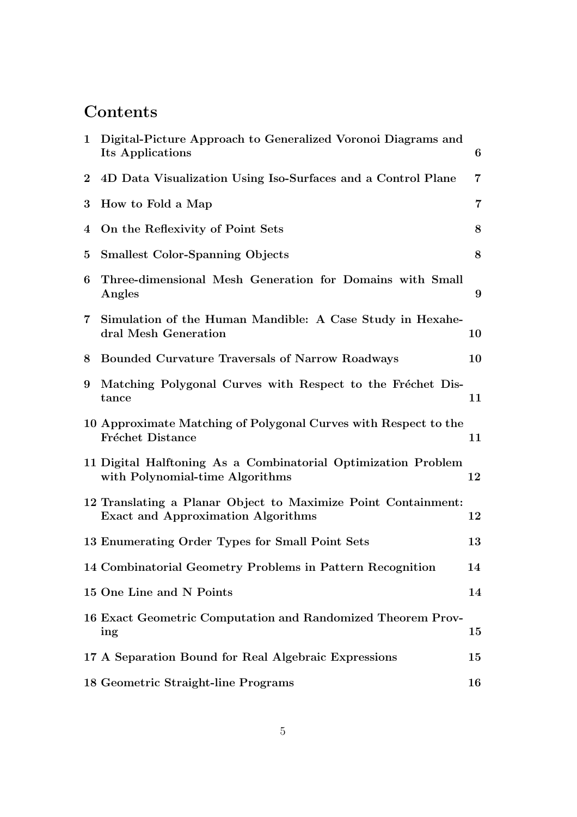## **Contents**

| $\mathbf 1$    | Digital-Picture Approach to Generalized Voronoi Diagrams and<br>Its Applications                           | 6              |
|----------------|------------------------------------------------------------------------------------------------------------|----------------|
| $\overline{2}$ | 4D Data Visualization Using Iso-Surfaces and a Control Plane                                               | $\overline{7}$ |
| 3              | How to Fold a Map                                                                                          | $\overline{7}$ |
| $\bf{4}$       | On the Reflexivity of Point Sets                                                                           | 8              |
| $\bf{5}$       | <b>Smallest Color-Spanning Objects</b>                                                                     | 8              |
| 6              | Three-dimensional Mesh Generation for Domains with Small<br>Angles                                         | 9              |
|                | 7 Simulation of the Human Mandible: A Case Study in Hexahe-<br>dral Mesh Generation                        | 10             |
| 8              | <b>Bounded Curvature Traversals of Narrow Roadways</b>                                                     | 10             |
| 9              | Matching Polygonal Curves with Respect to the Fréchet Dis-<br>tance                                        | 11             |
|                | 10 Approximate Matching of Polygonal Curves with Respect to the<br><b>Fréchet Distance</b>                 | 11             |
|                | 11 Digital Halftoning As a Combinatorial Optimization Problem<br>with Polynomial-time Algorithms           | 12             |
|                | 12 Translating a Planar Object to Maximize Point Containment:<br><b>Exact and Approximation Algorithms</b> | 12             |
|                | 13 Enumerating Order Types for Small Point Sets                                                            | 13             |
|                | 14 Combinatorial Geometry Problems in Pattern Recognition                                                  | 14             |
|                | 15 One Line and N Points                                                                                   | 14             |
|                | 16 Exact Geometric Computation and Randomized Theorem Prov-<br>ing                                         | 15             |
|                | 17 A Separation Bound for Real Algebraic Expressions                                                       | 15             |
|                | 18 Geometric Straight-line Programs                                                                        | 16             |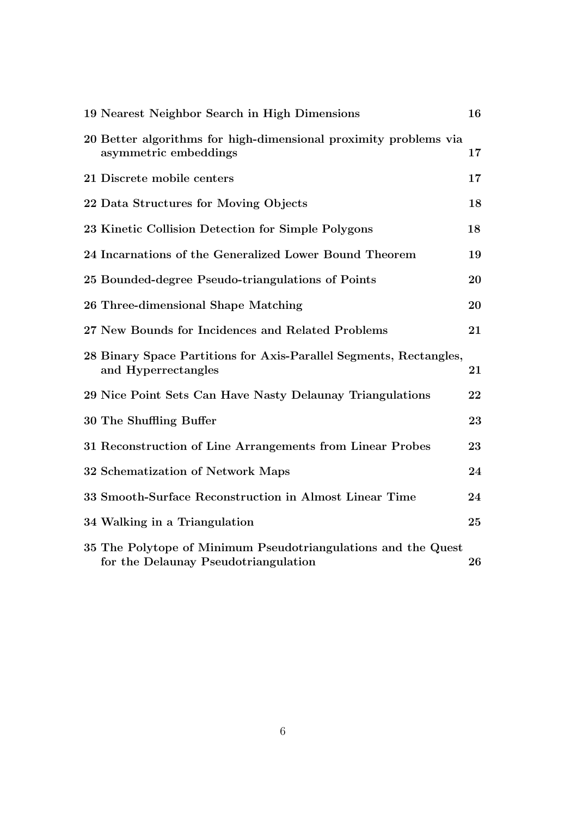| 19 Nearest Neighbor Search in High Dimensions                                                         | 16 |
|-------------------------------------------------------------------------------------------------------|----|
| 20 Better algorithms for high-dimensional proximity problems via<br>asymmetric embeddings             | 17 |
| 21 Discrete mobile centers                                                                            | 17 |
| 22 Data Structures for Moving Objects                                                                 | 18 |
| 23 Kinetic Collision Detection for Simple Polygons                                                    | 18 |
| 24 Incarnations of the Generalized Lower Bound Theorem                                                | 19 |
| 25 Bounded-degree Pseudo-triangulations of Points                                                     | 20 |
| 26 Three-dimensional Shape Matching                                                                   | 20 |
| 27 New Bounds for Incidences and Related Problems                                                     | 21 |
| 28 Binary Space Partitions for Axis-Parallel Segments, Rectangles,<br>and Hyperrectangles             | 21 |
| 29 Nice Point Sets Can Have Nasty Delaunay Triangulations                                             | 22 |
| 30 The Shuffling Buffer                                                                               | 23 |
| 31 Reconstruction of Line Arrangements from Linear Probes                                             | 23 |
| 32 Schematization of Network Maps                                                                     | 24 |
| 33 Smooth-Surface Reconstruction in Almost Linear Time                                                | 24 |
| 34 Walking in a Triangulation                                                                         | 25 |
| 35 The Polytope of Minimum Pseudotriangulations and the Quest<br>for the Delaunay Pseudotriangulation | 26 |
|                                                                                                       |    |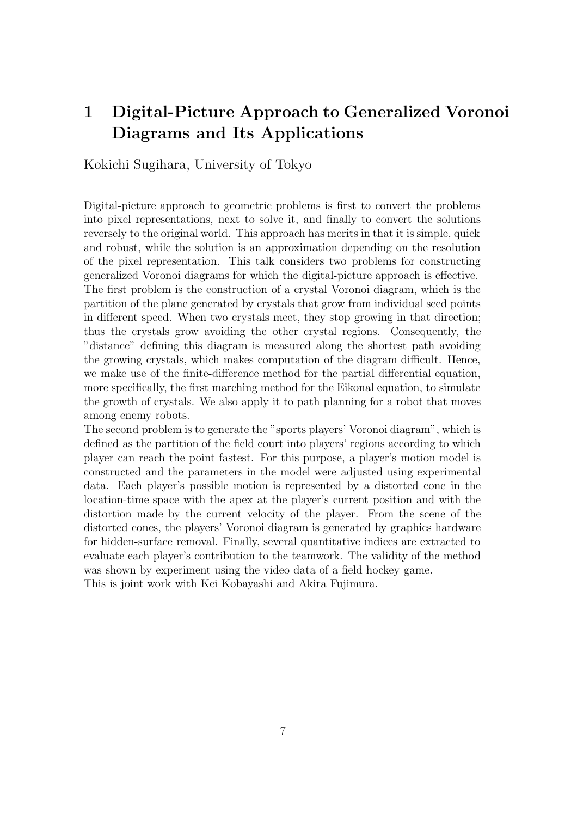## 1 Digital-Picture Approach to Generalized Voronoi Diagrams and Its Applications

Kokichi Sugihara, University of Tokyo

Digital-picture approach to geometric problems is first to convert the problems into pixel representations, next to solve it, and finally to convert the solutions reversely to the original world. This approach has merits in that it is simple, quick and robust, while the solution is an approximation depending on the resolution of the pixel representation. This talk considers two problems for constructing generalized Voronoi diagrams for which the digital-picture approach is effective. The first problem is the construction of a crystal Voronoi diagram, which is the partition of the plane generated by crystals that grow from individual seed points in different speed. When two crystals meet, they stop growing in that direction; thus the crystals grow avoiding the other crystal regions. Consequently, the "distance" defining this diagram is measured along the shortest path avoiding the growing crystals, which makes computation of the diagram difficult. Hence, we make use of the finite-difference method for the partial differential equation, more specifically, the first marching method for the Eikonal equation, to simulate the growth of crystals. We also apply it to path planning for a robot that moves among enemy robots.

The second problem is to generate the "sports players' Voronoi diagram", which is defined as the partition of the field court into players' regions according to which player can reach the point fastest. For this purpose, a player's motion model is constructed and the parameters in the model were adjusted using experimental data. Each player's possible motion is represented by a distorted cone in the location-time space with the apex at the player's current position and with the distortion made by the current velocity of the player. From the scene of the distorted cones, the players' Voronoi diagram is generated by graphics hardware for hidden-surface removal. Finally, several quantitative indices are extracted to evaluate each player's contribution to the teamwork. The validity of the method was shown by experiment using the video data of a field hockey game.

This is joint work with Kei Kobayashi and Akira Fujimura.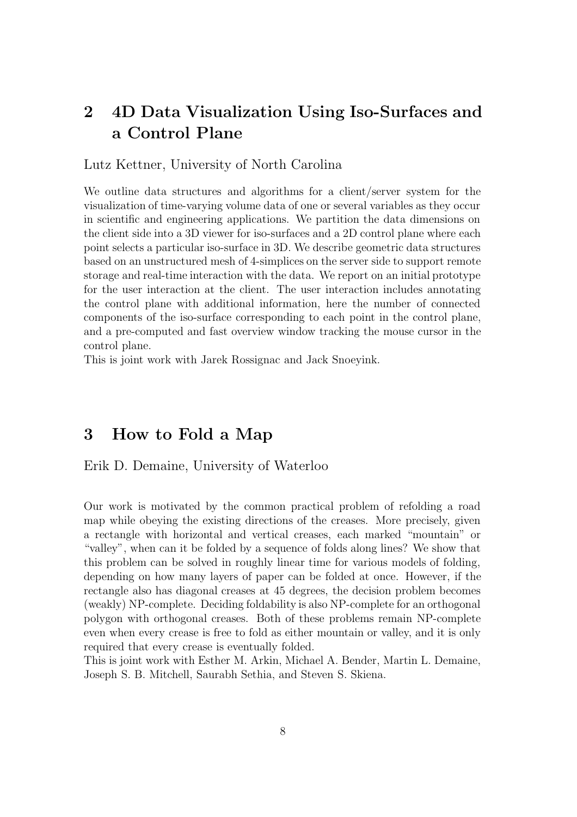### 2 4D Data Visualization Using Iso-Surfaces and a Control Plane

#### Lutz Kettner, University of North Carolina

We outline data structures and algorithms for a client/server system for the visualization of time-varying volume data of one or several variables as they occur in scientific and engineering applications. We partition the data dimensions on the client side into a 3D viewer for iso-surfaces and a 2D control plane where each point selects a particular iso-surface in 3D. We describe geometric data structures based on an unstructured mesh of 4-simplices on the server side to support remote storage and real-time interaction with the data. We report on an initial prototype for the user interaction at the client. The user interaction includes annotating the control plane with additional information, here the number of connected components of the iso-surface corresponding to each point in the control plane, and a pre-computed and fast overview window tracking the mouse cursor in the control plane.

This is joint work with Jarek Rossignac and Jack Snoeyink.

### 3 How to Fold a Map

#### Erik D. Demaine, University of Waterloo

Our work is motivated by the common practical problem of refolding a road map while obeying the existing directions of the creases. More precisely, given a rectangle with horizontal and vertical creases, each marked "mountain" or "valley", when can it be folded by a sequence of folds along lines? We show that this problem can be solved in roughly linear time for various models of folding, depending on how many layers of paper can be folded at once. However, if the rectangle also has diagonal creases at 45 degrees, the decision problem becomes (weakly) NP-complete. Deciding foldability is also NP-complete for an orthogonal polygon with orthogonal creases. Both of these problems remain NP-complete even when every crease is free to fold as either mountain or valley, and it is only required that every crease is eventually folded.

This is joint work with Esther M. Arkin, Michael A. Bender, Martin L. Demaine, Joseph S. B. Mitchell, Saurabh Sethia, and Steven S. Skiena.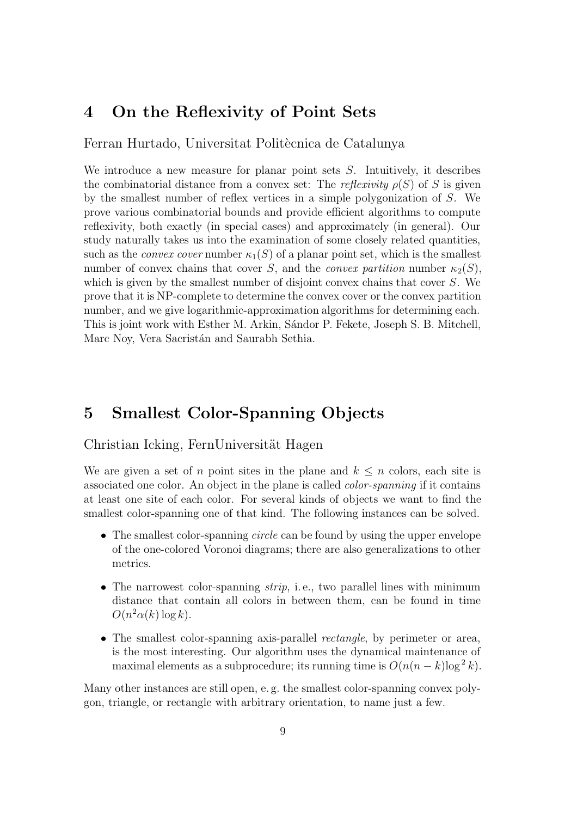### 4 On the Reflexivity of Point Sets

Ferran Hurtado, Universitat Politècnica de Catalunya

We introduce a new measure for planar point sets  $S$ . Intuitively, it describes the combinatorial distance from a convex set: The reflexivity  $\rho(S)$  of S is given by the smallest number of reflex vertices in a simple polygonization of S. We prove various combinatorial bounds and provide efficient algorithms to compute reflexivity, both exactly (in special cases) and approximately (in general). Our study naturally takes us into the examination of some closely related quantities, such as the *convex cover* number  $\kappa_1(S)$  of a planar point set, which is the smallest number of convex chains that cover S, and the *convex partition* number  $\kappa_2(S)$ , which is given by the smallest number of disjoint convex chains that cover S. We prove that it is NP-complete to determine the convex cover or the convex partition number, and we give logarithmic-approximation algorithms for determining each. This is joint work with Esther M. Arkin, Sándor P. Fekete, Joseph S. B. Mitchell, Marc Noy, Vera Sacristán and Saurabh Sethia.

### 5 Smallest Color-Spanning Objects

#### Christian Icking, FernUniversität Hagen

We are given a set of n point sites in the plane and  $k \leq n$  colors, each site is associated one color. An object in the plane is called color-spanning if it contains at least one site of each color. For several kinds of objects we want to find the smallest color-spanning one of that kind. The following instances can be solved.

- The smallest color-spanning *circle* can be found by using the upper envelope of the one-colored Voronoi diagrams; there are also generalizations to other metrics.
- The narrowest color-spanning  $strip$ , i.e., two parallel lines with minimum distance that contain all colors in between them, can be found in time  $O(n^2\alpha(k)\log k)$ .
- The smallest color-spanning axis-parallel *rectangle*, by perimeter or area, is the most interesting. Our algorithm uses the dynamical maintenance of maximal elements as a subprocedure; its running time is  $O(n(n-k)\log^2 k)$ .

Many other instances are still open, e. g. the smallest color-spanning convex polygon, triangle, or rectangle with arbitrary orientation, to name just a few.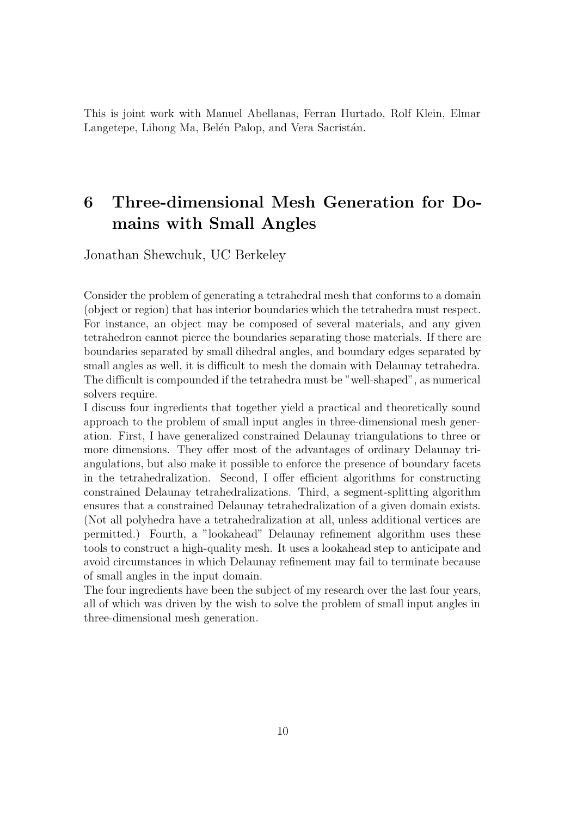This is joint work with Manuel Abellanas, Ferran Hurtado, Rolf Klein, Elmar Langetepe, Lihong Ma, Belén Palop, and Vera Sacristán.

# 6 Three-dimensional Mesh Generation for Domains with Small Angles

Jonathan Shewchuk, UC Berkeley

Consider the problem of generating a tetrahedral mesh that conforms to a domain (object or region) that has interior boundaries which the tetrahedra must respect. For instance, an object may be composed of several materials, and any given tetrahedron cannot pierce the boundaries separating those materials. If there are boundaries separated by small dihedral angles, and boundary edges separated by small angles as well, it is difficult to mesh the domain with Delaunay tetrahedra. The difficult is compounded if the tetrahedra must be "well-shaped", as numerical solvers require.

I discuss four ingredients that together yield a practical and theoretically sound approach to the problem of small input angles in three-dimensional mesh generation. First, I have generalized constrained Delaunay triangulations to three or more dimensions. They offer most of the advantages of ordinary Delaunay triangulations, but also make it possible to enforce the presence of boundary facets in the tetrahedralization. Second, I offer efficient algorithms for constructing constrained Delaunay tetrahedralizations. Third, a segment-splitting algorithm ensures that a constrained Delaunay tetrahedralization of a given domain exists. (Not all polyhedra have a tetrahedralization at all, unless additional vertices are permitted.) Fourth, a "lookahead" Delaunay refinement algorithm uses these tools to construct a high-quality mesh. It uses a lookahead step to anticipate and avoid circumstances in which Delaunay refinement may fail to terminate because of small angles in the input domain.

The four ingredients have been the subject of my research over the last four years, all of which was driven by the wish to solve the problem of small input angles in three-dimensional mesh generation.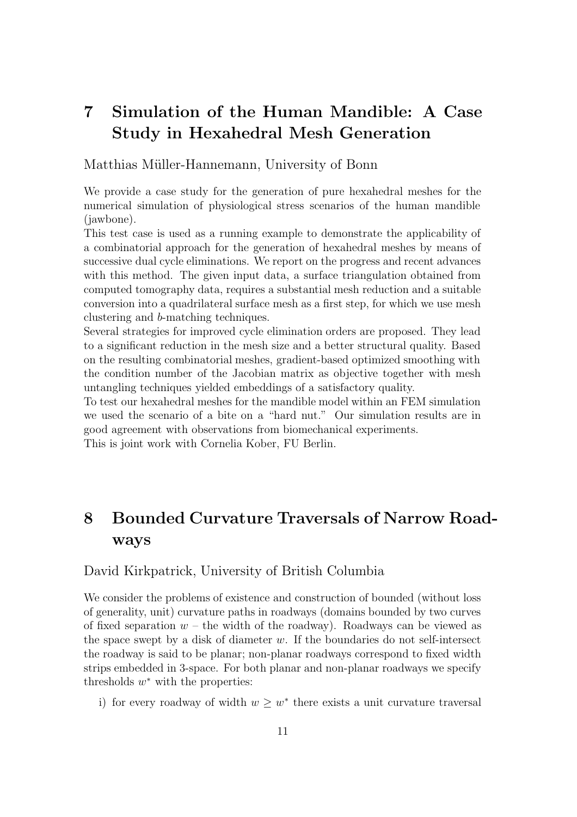## 7 Simulation of the Human Mandible: A Case Study in Hexahedral Mesh Generation

Matthias Müller-Hannemann, University of Bonn

We provide a case study for the generation of pure hexahedral meshes for the numerical simulation of physiological stress scenarios of the human mandible (jawbone).

This test case is used as a running example to demonstrate the applicability of a combinatorial approach for the generation of hexahedral meshes by means of successive dual cycle eliminations. We report on the progress and recent advances with this method. The given input data, a surface triangulation obtained from computed tomography data, requires a substantial mesh reduction and a suitable conversion into a quadrilateral surface mesh as a first step, for which we use mesh clustering and b-matching techniques.

Several strategies for improved cycle elimination orders are proposed. They lead to a significant reduction in the mesh size and a better structural quality. Based on the resulting combinatorial meshes, gradient-based optimized smoothing with the condition number of the Jacobian matrix as objective together with mesh untangling techniques yielded embeddings of a satisfactory quality.

To test our hexahedral meshes for the mandible model within an FEM simulation we used the scenario of a bite on a "hard nut." Our simulation results are in good agreement with observations from biomechanical experiments.

This is joint work with Cornelia Kober, FU Berlin.

## 8 Bounded Curvature Traversals of Narrow Roadways

#### David Kirkpatrick, University of British Columbia

We consider the problems of existence and construction of bounded (without loss of generality, unit) curvature paths in roadways (domains bounded by two curves of fixed separation  $w$  – the width of the roadway). Roadways can be viewed as the space swept by a disk of diameter w. If the boundaries do not self-intersect the roadway is said to be planar; non-planar roadways correspond to fixed width strips embedded in 3-space. For both planar and non-planar roadways we specify thresholds  $w^*$  with the properties:

i) for every roadway of width  $w \geq w^*$  there exists a unit curvature traversal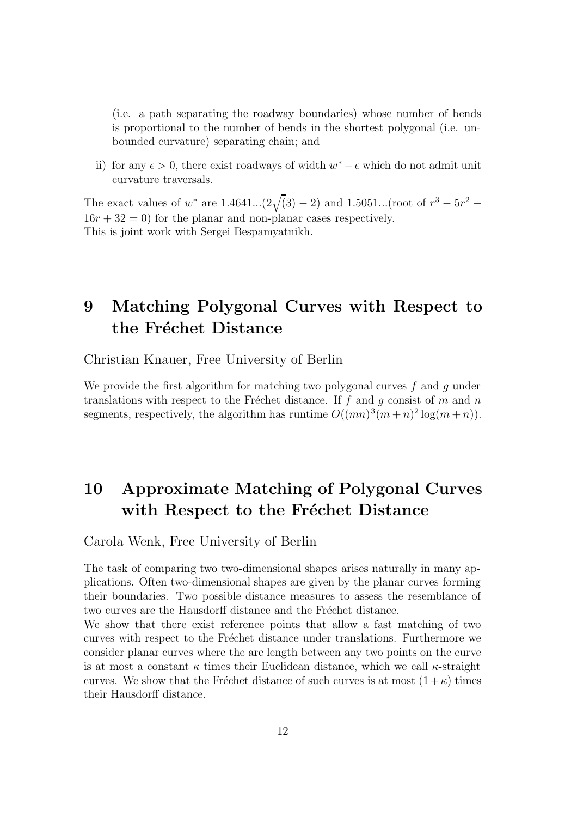(i.e. a path separating the roadway boundaries) whose number of bends is proportional to the number of bends in the shortest polygonal (i.e. unbounded curvature) separating chain; and

ii) for any  $\epsilon > 0$ , there exist roadways of width  $w^* - \epsilon$  which do not admit unit curvature traversals.

The exact values of  $w^*$  are  $1.4641...(2\sqrt{(3)}-2)$  and  $1.5051...(root of  $r^3 - 5r^2 -$$  $16r + 32 = 0$  for the planar and non-planar cases respectively. This is joint work with Sergei Bespamyatnikh.

### 9 Matching Polygonal Curves with Respect to the Fréchet Distance

Christian Knauer, Free University of Berlin

We provide the first algorithm for matching two polygonal curves  $f$  and  $q$  under translations with respect to the Fréchet distance. If f and g consist of m and n segments, respectively, the algorithm has runtime  $O((mn)^3(m+n)^2 \log(m+n))$ .

# 10 Approximate Matching of Polygonal Curves with Respect to the Fréchet Distance

Carola Wenk, Free University of Berlin

The task of comparing two two-dimensional shapes arises naturally in many applications. Often two-dimensional shapes are given by the planar curves forming their boundaries. Two possible distance measures to assess the resemblance of two curves are the Hausdorff distance and the Fréchet distance.

We show that there exist reference points that allow a fast matching of two curves with respect to the Fréchet distance under translations. Furthermore we consider planar curves where the arc length between any two points on the curve is at most a constant  $\kappa$  times their Euclidean distance, which we call  $\kappa$ -straight curves. We show that the Fréchet distance of such curves is at most  $(1 + \kappa)$  times their Hausdorff distance.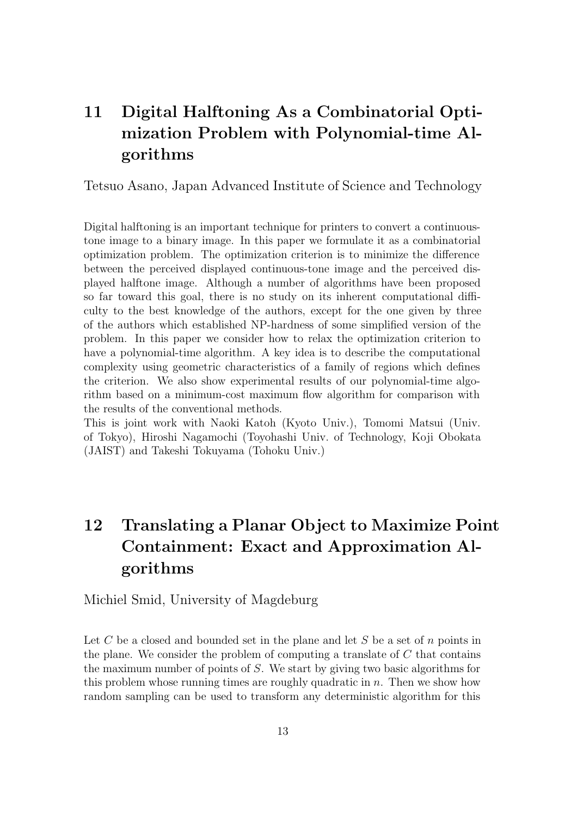# 11 Digital Halftoning As a Combinatorial Optimization Problem with Polynomial-time Algorithms

Tetsuo Asano, Japan Advanced Institute of Science and Technology

Digital halftoning is an important technique for printers to convert a continuoustone image to a binary image. In this paper we formulate it as a combinatorial optimization problem. The optimization criterion is to minimize the difference between the perceived displayed continuous-tone image and the perceived displayed halftone image. Although a number of algorithms have been proposed so far toward this goal, there is no study on its inherent computational difficulty to the best knowledge of the authors, except for the one given by three of the authors which established NP-hardness of some simplified version of the problem. In this paper we consider how to relax the optimization criterion to have a polynomial-time algorithm. A key idea is to describe the computational complexity using geometric characteristics of a family of regions which defines the criterion. We also show experimental results of our polynomial-time algorithm based on a minimum-cost maximum flow algorithm for comparison with the results of the conventional methods.

This is joint work with Naoki Katoh (Kyoto Univ.), Tomomi Matsui (Univ. of Tokyo), Hiroshi Nagamochi (Toyohashi Univ. of Technology, Koji Obokata (JAIST) and Takeshi Tokuyama (Tohoku Univ.)

# 12 Translating a Planar Object to Maximize Point Containment: Exact and Approximation Algorithms

Michiel Smid, University of Magdeburg

Let C be a closed and bounded set in the plane and let S be a set of  $n$  points in the plane. We consider the problem of computing a translate of  $C$  that contains the maximum number of points of S. We start by giving two basic algorithms for this problem whose running times are roughly quadratic in  $n$ . Then we show how random sampling can be used to transform any deterministic algorithm for this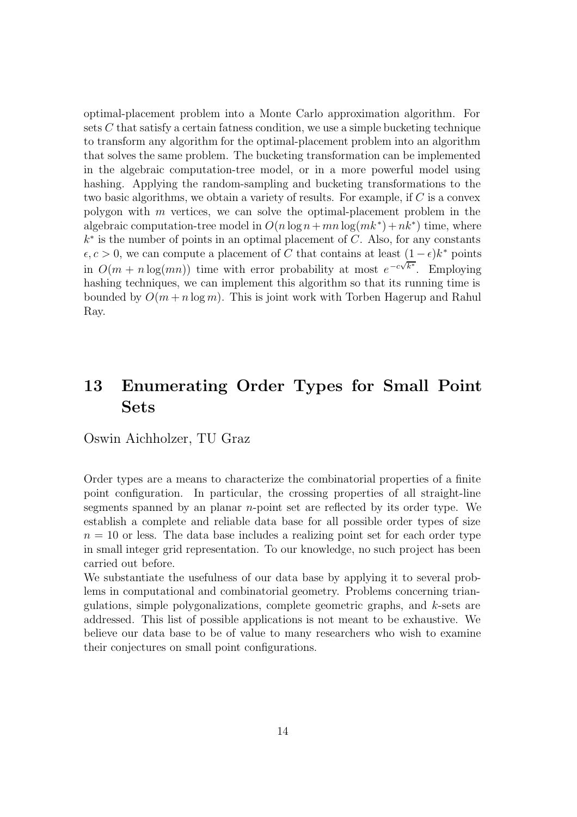optimal-placement problem into a Monte Carlo approximation algorithm. For sets  $C$  that satisfy a certain fatness condition, we use a simple bucketing technique to transform any algorithm for the optimal-placement problem into an algorithm that solves the same problem. The bucketing transformation can be implemented in the algebraic computation-tree model, or in a more powerful model using hashing. Applying the random-sampling and bucketing transformations to the two basic algorithms, we obtain a variety of results. For example, if C is a convex polygon with m vertices, we can solve the optimal-placement problem in the algebraic computation-tree model in  $O(n \log n + mn \log(mk^*) + nk^*)$  time, where  $k^*$  is the number of points in an optimal placement of C. Also, for any constants  $\epsilon, c > 0$ , we can compute a placement of C that contains at least  $(1 - \epsilon)k^*$  points in  $O(m + n \log(mn))$  time with error probability at most  $e^{-c\sqrt{k^*}}$ . Employing hashing techniques, we can implement this algorithm so that its running time is bounded by  $O(m + n \log m)$ . This is joint work with Torben Hagerup and Rahul Ray.

### 13 Enumerating Order Types for Small Point Sets

Oswin Aichholzer, TU Graz

Order types are a means to characterize the combinatorial properties of a finite point configuration. In particular, the crossing properties of all straight-line segments spanned by an planar n-point set are reflected by its order type. We establish a complete and reliable data base for all possible order types of size  $n = 10$  or less. The data base includes a realizing point set for each order type in small integer grid representation. To our knowledge, no such project has been carried out before.

We substantiate the usefulness of our data base by applying it to several problems in computational and combinatorial geometry. Problems concerning triangulations, simple polygonalizations, complete geometric graphs, and k-sets are addressed. This list of possible applications is not meant to be exhaustive. We believe our data base to be of value to many researchers who wish to examine their conjectures on small point configurations.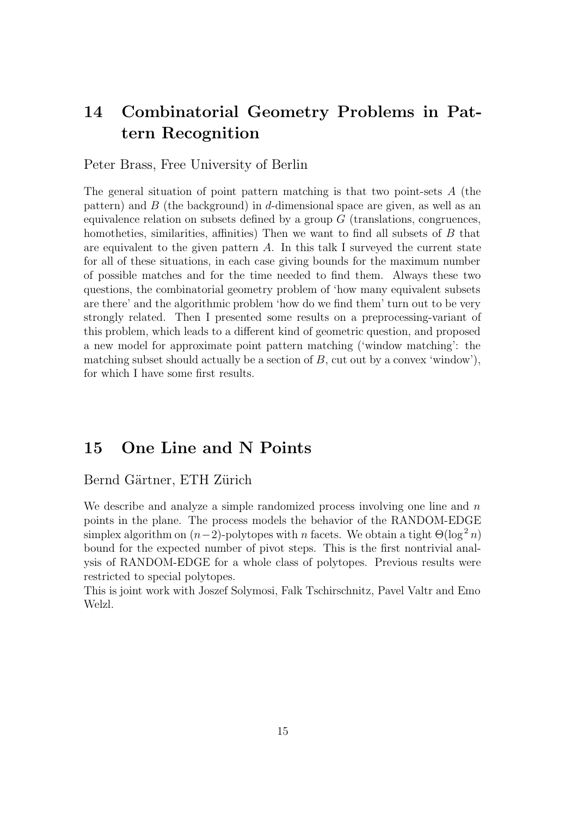### 14 Combinatorial Geometry Problems in Pattern Recognition

#### Peter Brass, Free University of Berlin

The general situation of point pattern matching is that two point-sets A (the pattern) and  $B$  (the background) in d-dimensional space are given, as well as an equivalence relation on subsets defined by a group  $G$  (translations, congruences, homotheties, similarities, affinities) Then we want to find all subsets of B that are equivalent to the given pattern  $A$ . In this talk I surveyed the current state for all of these situations, in each case giving bounds for the maximum number of possible matches and for the time needed to find them. Always these two questions, the combinatorial geometry problem of 'how many equivalent subsets are there' and the algorithmic problem 'how do we find them' turn out to be very strongly related. Then I presented some results on a preprocessing-variant of this problem, which leads to a different kind of geometric question, and proposed a new model for approximate point pattern matching ('window matching': the matching subset should actually be a section of  $B$ , cut out by a convex 'window'), for which I have some first results.

### 15 One Line and N Points

#### Bernd Gärtner, ETH Zürich

We describe and analyze a simple randomized process involving one line and  $n$ points in the plane. The process models the behavior of the RANDOM-EDGE simplex algorithm on  $(n-2)$ -polytopes with n facets. We obtain a tight  $\Theta(\log^2 n)$ bound for the expected number of pivot steps. This is the first nontrivial analysis of RANDOM-EDGE for a whole class of polytopes. Previous results were restricted to special polytopes.

This is joint work with Joszef Solymosi, Falk Tschirschnitz, Pavel Valtr and Emo Welzl.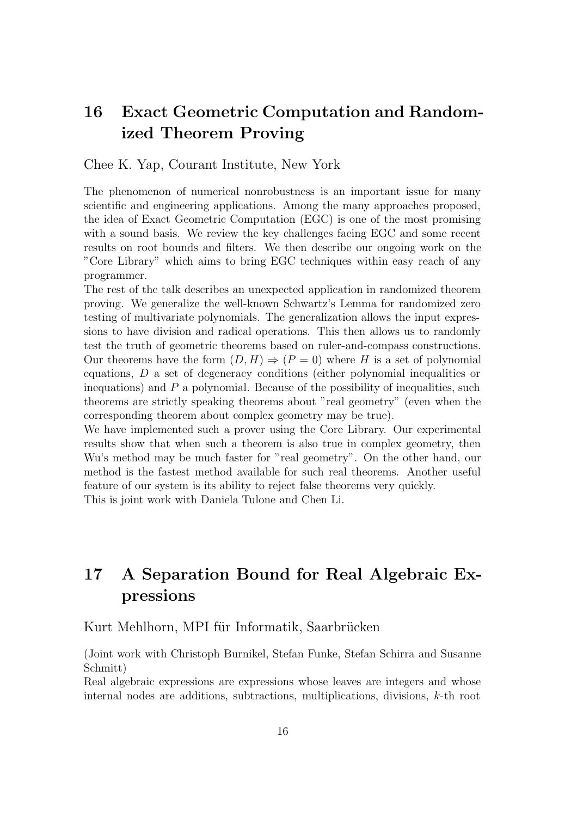### 16 Exact Geometric Computation and Randomized Theorem Proving

Chee K. Yap, Courant Institute, New York

The phenomenon of numerical nonrobustness is an important issue for many scientific and engineering applications. Among the many approaches proposed, the idea of Exact Geometric Computation (EGC) is one of the most promising with a sound basis. We review the key challenges facing EGC and some recent results on root bounds and filters. We then describe our ongoing work on the "Core Library" which aims to bring EGC techniques within easy reach of any programmer.

The rest of the talk describes an unexpected application in randomized theorem proving. We generalize the well-known Schwartz's Lemma for randomized zero testing of multivariate polynomials. The generalization allows the input expressions to have division and radical operations. This then allows us to randomly test the truth of geometric theorems based on ruler-and-compass constructions. Our theorems have the form  $(D, H) \Rightarrow (P = 0)$  where H is a set of polynomial equations, D a set of degeneracy conditions (either polynomial inequalities or inequations) and  $P$  a polynomial. Because of the possibility of inequalities, such theorems are strictly speaking theorems about "real geometry" (even when the corresponding theorem about complex geometry may be true).

We have implemented such a prover using the Core Library. Our experimental results show that when such a theorem is also true in complex geometry, then Wu's method may be much faster for "real geometry". On the other hand, our method is the fastest method available for such real theorems. Another useful feature of our system is its ability to reject false theorems very quickly.

This is joint work with Daniela Tulone and Chen Li.

## 17 A Separation Bound for Real Algebraic Expressions

#### Kurt Mehlhorn, MPI für Informatik, Saarbrücken

(Joint work with Christoph Burnikel, Stefan Funke, Stefan Schirra and Susanne Schmitt)

Real algebraic expressions are expressions whose leaves are integers and whose internal nodes are additions, subtractions, multiplications, divisions, k-th root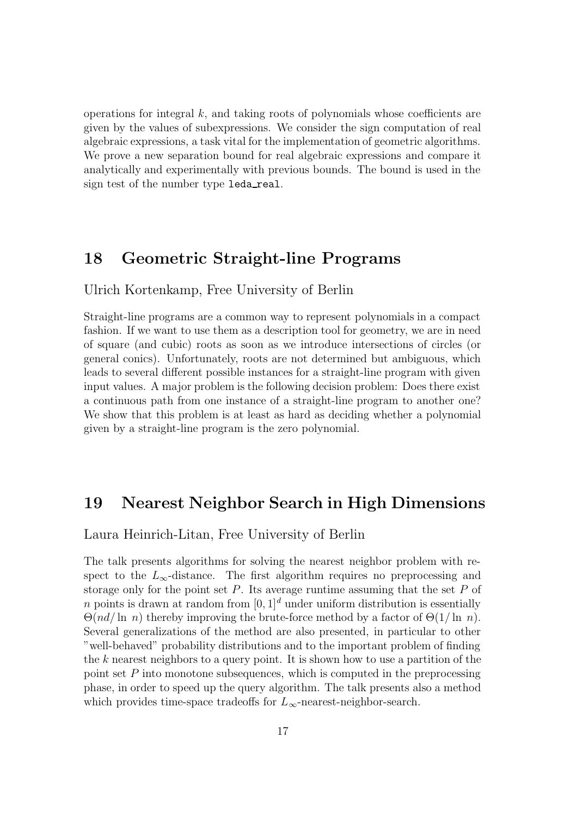operations for integral  $k$ , and taking roots of polynomials whose coefficients are given by the values of subexpressions. We consider the sign computation of real algebraic expressions, a task vital for the implementation of geometric algorithms. We prove a new separation bound for real algebraic expressions and compare it analytically and experimentally with previous bounds. The bound is used in the sign test of the number type leda real.

### 18 Geometric Straight-line Programs

Ulrich Kortenkamp, Free University of Berlin

Straight-line programs are a common way to represent polynomials in a compact fashion. If we want to use them as a description tool for geometry, we are in need of square (and cubic) roots as soon as we introduce intersections of circles (or general conics). Unfortunately, roots are not determined but ambiguous, which leads to several different possible instances for a straight-line program with given input values. A major problem is the following decision problem: Does there exist a continuous path from one instance of a straight-line program to another one? We show that this problem is at least as hard as deciding whether a polynomial given by a straight-line program is the zero polynomial.

### 19 Nearest Neighbor Search in High Dimensions

Laura Heinrich-Litan, Free University of Berlin

The talk presents algorithms for solving the nearest neighbor problem with respect to the  $L_{\infty}$ -distance. The first algorithm requires no preprocessing and storage only for the point set  $P$ . Its average runtime assuming that the set  $P$  of n points is drawn at random from  $[0, 1]^d$  under uniform distribution is essentially  $\Theta(nd/\ln n)$  thereby improving the brute-force method by a factor of  $\Theta(1/\ln n)$ . Several generalizations of the method are also presented, in particular to other "well-behaved" probability distributions and to the important problem of finding the k nearest neighbors to a query point. It is shown how to use a partition of the point set  $P$  into monotone subsequences, which is computed in the preprocessing phase, in order to speed up the query algorithm. The talk presents also a method which provides time-space tradeoffs for  $L_{\infty}$ -nearest-neighbor-search.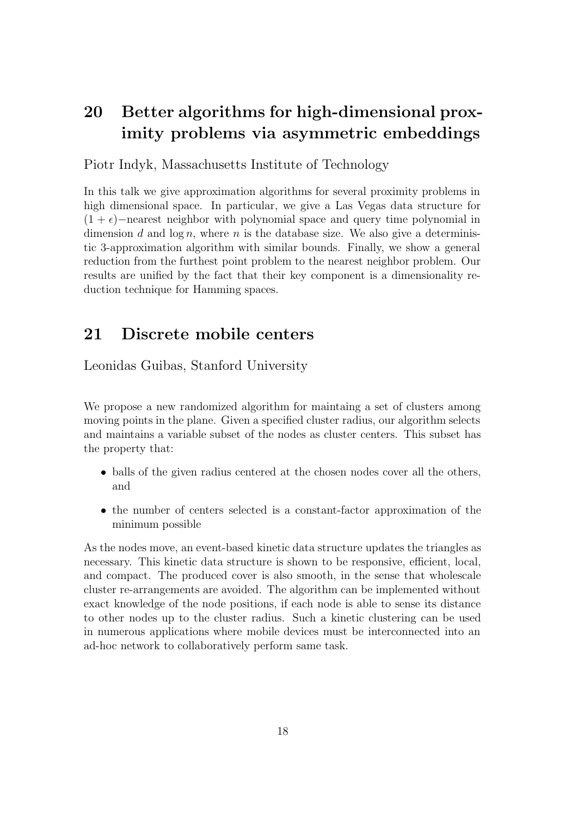## 20 Better algorithms for high-dimensional proximity problems via asymmetric embeddings

Piotr Indyk, Massachusetts Institute of Technology

In this talk we give approximation algorithms for several proximity problems in high dimensional space. In particular, we give a Las Vegas data structure for  $(1 + \epsilon)$ −nearest neighbor with polynomial space and query time polynomial in dimension d and  $\log n$ , where n is the database size. We also give a deterministic 3-approximation algorithm with similar bounds. Finally, we show a general reduction from the furthest point problem to the nearest neighbor problem. Our results are unified by the fact that their key component is a dimensionality reduction technique for Hamming spaces.

### 21 Discrete mobile centers

Leonidas Guibas, Stanford University

We propose a new randomized algorithm for maintaing a set of clusters among moving points in the plane. Given a specified cluster radius, our algorithm selects and maintains a variable subset of the nodes as cluster centers. This subset has the property that:

- balls of the given radius centered at the chosen nodes cover all the others, and
- the number of centers selected is a constant-factor approximation of the minimum possible

As the nodes move, an event-based kinetic data structure updates the triangles as necessary. This kinetic data structure is shown to be responsive, efficient, local, and compact. The produced cover is also smooth, in the sense that wholescale cluster re-arrangements are avoided. The algorithm can be implemented without exact knowledge of the node positions, if each node is able to sense its distance to other nodes up to the cluster radius. Such a kinetic clustering can be used in numerous applications where mobile devices must be interconnected into an ad-hoc network to collaboratively perform same task.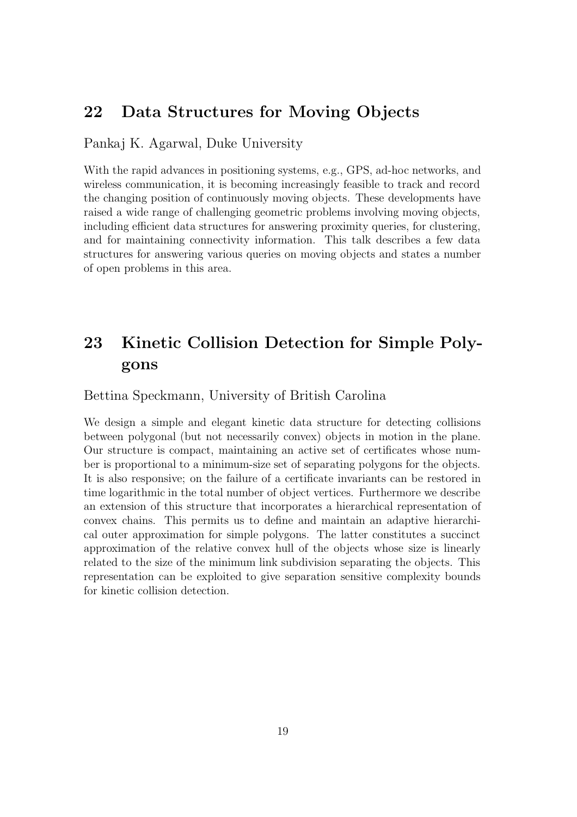### 22 Data Structures for Moving Objects

Pankaj K. Agarwal, Duke University

With the rapid advances in positioning systems, e.g., GPS, ad-hoc networks, and wireless communication, it is becoming increasingly feasible to track and record the changing position of continuously moving objects. These developments have raised a wide range of challenging geometric problems involving moving objects, including efficient data structures for answering proximity queries, for clustering, and for maintaining connectivity information. This talk describes a few data structures for answering various queries on moving objects and states a number of open problems in this area.

## 23 Kinetic Collision Detection for Simple Polygons

Bettina Speckmann, University of British Carolina

We design a simple and elegant kinetic data structure for detecting collisions between polygonal (but not necessarily convex) objects in motion in the plane. Our structure is compact, maintaining an active set of certificates whose number is proportional to a minimum-size set of separating polygons for the objects. It is also responsive; on the failure of a certificate invariants can be restored in time logarithmic in the total number of object vertices. Furthermore we describe an extension of this structure that incorporates a hierarchical representation of convex chains. This permits us to define and maintain an adaptive hierarchical outer approximation for simple polygons. The latter constitutes a succinct approximation of the relative convex hull of the objects whose size is linearly related to the size of the minimum link subdivision separating the objects. This representation can be exploited to give separation sensitive complexity bounds for kinetic collision detection.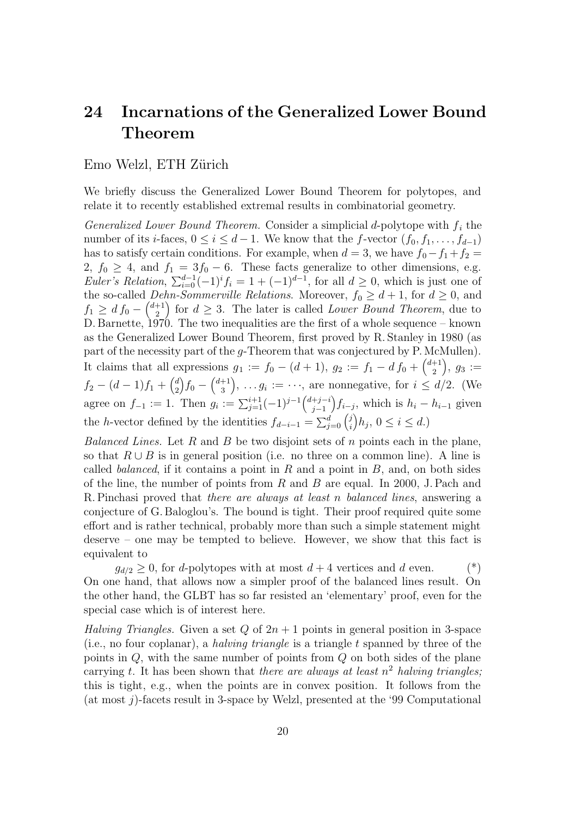### 24 Incarnations of the Generalized Lower Bound Theorem

Emo Welzl, ETH Zürich

We briefly discuss the Generalized Lower Bound Theorem for polytopes, and relate it to recently established extremal results in combinatorial geometry.

Generalized Lower Bound Theorem. Consider a simplicial d-polytope with  $f_i$  the number of its *i*-faces,  $0 \le i \le d-1$ . We know that the f-vector  $(f_0, f_1, \ldots, f_{d-1})$ has to satisfy certain conditions. For example, when  $d = 3$ , we have  $f_0 - f_1 + f_2 =$ 2,  $f_0 \geq 4$ , and  $f_1 = 3f_0 - 6$ . These facts generalize to other dimensions, e.g. Euler's Relation,  $\sum_{i=0}^{d-1} (-1)^{i} f_i = 1 + (-1)^{d-1}$ , for all  $d \ge 0$ , which is just one of the so-called *Dehn-Sommerville Relations*. Moreover,  $f_0 \geq d + 1$ , for  $d \geq 0$ , and  $f_1 \geq d f_0 - \binom{d+1}{2}$  $\binom{+1}{2}$  for  $d \geq 3$ . The later is called *Lower Bound Theorem*, due to D. Barnette,  $1970$ . The two inequalities are the first of a whole sequence – known as the Generalized Lower Bound Theorem, first proved by R. Stanley in 1980 (as part of the necessity part of the g-Theorem that was conjectured by P. McMullen). It claims that all expressions  $g_1 := f_0 - (d+1), g_2 := f_1 - d f_0 + \binom{d+1}{2}$  $\binom{+1}{2}, \; g_3 :=$  $f_2 - (d-1)f_1 + {d \choose 2}$  $\binom{d}{2}f_0-\binom{d+1}{3}$  $\binom{+1}{3}$ , ...  $g_i := \cdots$ , are nonnegative, for  $i \leq d/2$ . (We agree on  $f_{-1} := 1$ . Then  $g_i := \sum_{j=1}^{i+1} (-1)^{j-1} {d+j-i \choose j-1}$  $j-1$  $\left(f_{i-j}, \text{ which is } h_i - h_{i-1} \text{ given}\right)$ the *h*-vector defined by the identities  $f_{d-i-1} = \sum_{j=0}^{d} {j \choose i}$  $\int_{i}^{j}$  $h_{j}$ ,  $0 \leq i \leq d$ .)

Balanced Lines. Let R and B be two disjoint sets of n points each in the plane, so that  $R \cup B$  is in general position (i.e. no three on a common line). A line is called *balanced*, if it contains a point in  $R$  and a point in  $B$ , and, on both sides of the line, the number of points from  $R$  and  $B$  are equal. In 2000, J. Pach and R. Pinchasi proved that there are always at least n balanced lines, answering a conjecture of G. Baloglou's. The bound is tight. Their proof required quite some effort and is rather technical, probably more than such a simple statement might deserve – one may be tempted to believe. However, we show that this fact is equivalent to

 $g_{d/2} \geq 0$ , for *d*-polytopes with at most  $d + 4$  vertices and *d* even. (\*) On one hand, that allows now a simpler proof of the balanced lines result. On the other hand, the GLBT has so far resisted an 'elementary' proof, even for the special case which is of interest here.

Halving Triangles. Given a set Q of  $2n + 1$  points in general position in 3-space (i.e., no four coplanar), a *halving triangle* is a triangle  $t$  spanned by three of the points in Q, with the same number of points from Q on both sides of the plane carrying t. It has been shown that there are always at least  $n^2$  halving triangles; this is tight, e.g., when the points are in convex position. It follows from the (at most j)-facets result in 3-space by Welzl, presented at the '99 Computational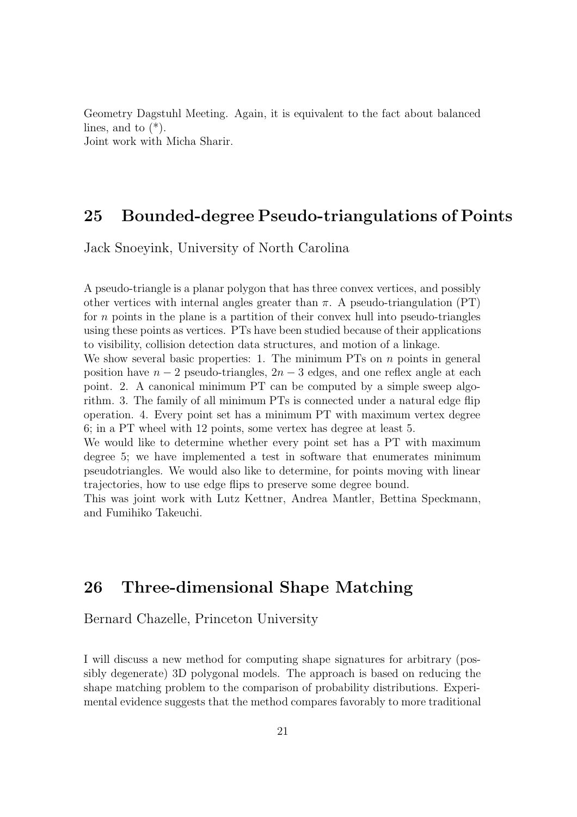Geometry Dagstuhl Meeting. Again, it is equivalent to the fact about balanced lines, and to  $(*).$ Joint work with Micha Sharir.

25 Bounded-degree Pseudo-triangulations of Points

Jack Snoeyink, University of North Carolina

A pseudo-triangle is a planar polygon that has three convex vertices, and possibly other vertices with internal angles greater than  $\pi$ . A pseudo-triangulation (PT) for  $n$  points in the plane is a partition of their convex hull into pseudo-triangles using these points as vertices. PTs have been studied because of their applications to visibility, collision detection data structures, and motion of a linkage.

We show several basic properties: 1. The minimum PTs on  $n$  points in general position have  $n-2$  pseudo-triangles,  $2n-3$  edges, and one reflex angle at each point. 2. A canonical minimum PT can be computed by a simple sweep algorithm. 3. The family of all minimum PTs is connected under a natural edge flip operation. 4. Every point set has a minimum PT with maximum vertex degree 6; in a PT wheel with 12 points, some vertex has degree at least 5.

We would like to determine whether every point set has a PT with maximum degree 5; we have implemented a test in software that enumerates minimum pseudotriangles. We would also like to determine, for points moving with linear trajectories, how to use edge flips to preserve some degree bound.

This was joint work with Lutz Kettner, Andrea Mantler, Bettina Speckmann, and Fumihiko Takeuchi.

### 26 Three-dimensional Shape Matching

Bernard Chazelle, Princeton University

I will discuss a new method for computing shape signatures for arbitrary (possibly degenerate) 3D polygonal models. The approach is based on reducing the shape matching problem to the comparison of probability distributions. Experimental evidence suggests that the method compares favorably to more traditional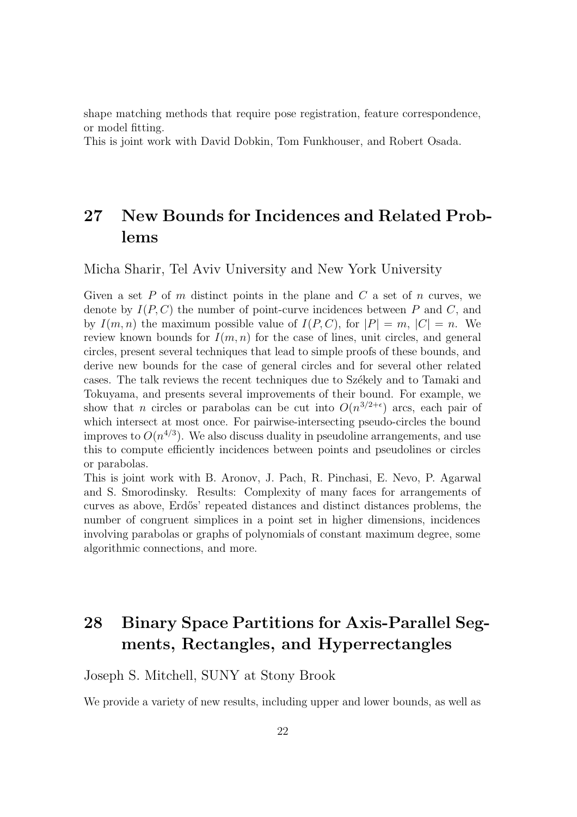shape matching methods that require pose registration, feature correspondence, or model fitting.

This is joint work with David Dobkin, Tom Funkhouser, and Robert Osada.

## 27 New Bounds for Incidences and Related Problems

Micha Sharir, Tel Aviv University and New York University

Given a set P of m distinct points in the plane and C a set of n curves, we denote by  $I(P, C)$  the number of point-curve incidences between P and C, and by  $I(m, n)$  the maximum possible value of  $I(P, C)$ , for  $|P| = m$ ,  $|C| = n$ . We review known bounds for  $I(m, n)$  for the case of lines, unit circles, and general circles, present several techniques that lead to simple proofs of these bounds, and derive new bounds for the case of general circles and for several other related cases. The talk reviews the recent techniques due to Székely and to Tamaki and Tokuyama, and presents several improvements of their bound. For example, we show that *n* circles or parabolas can be cut into  $O(n^{3/2+\epsilon})$  arcs, each pair of which intersect at most once. For pairwise-intersecting pseudo-circles the bound improves to  $O(n^{4/3})$ . We also discuss duality in pseudoline arrangements, and use this to compute efficiently incidences between points and pseudolines or circles or parabolas.

This is joint work with B. Aronov, J. Pach, R. Pinchasi, E. Nevo, P. Agarwal and S. Smorodinsky. Results: Complexity of many faces for arrangements of curves as above, Erd˝os' repeated distances and distinct distances problems, the number of congruent simplices in a point set in higher dimensions, incidences involving parabolas or graphs of polynomials of constant maximum degree, some algorithmic connections, and more.

# 28 Binary Space Partitions for Axis-Parallel Segments, Rectangles, and Hyperrectangles

#### Joseph S. Mitchell, SUNY at Stony Brook

We provide a variety of new results, including upper and lower bounds, as well as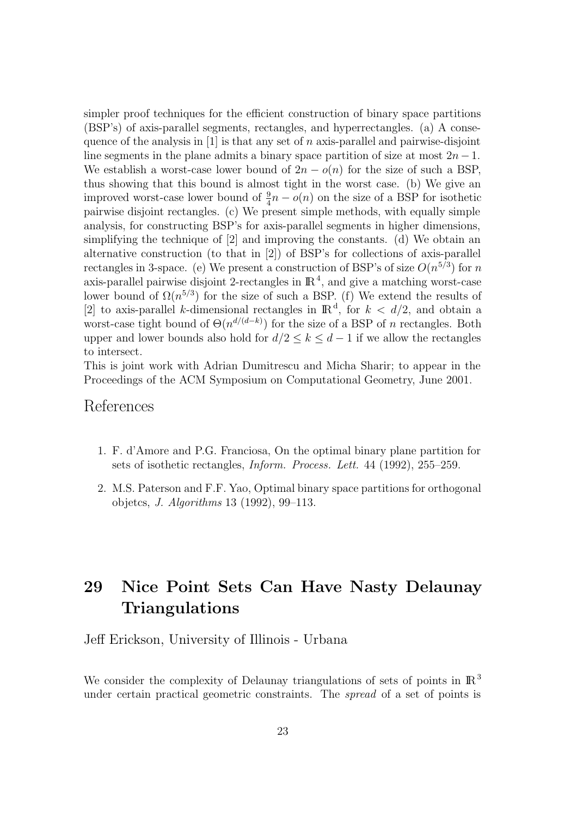simpler proof techniques for the efficient construction of binary space partitions (BSP's) of axis-parallel segments, rectangles, and hyperrectangles. (a) A consequence of the analysis in  $[1]$  is that any set of n axis-parallel and pairwise-disjoint line segments in the plane admits a binary space partition of size at most  $2n - 1$ . We establish a worst-case lower bound of  $2n - o(n)$  for the size of such a BSP, thus showing that this bound is almost tight in the worst case. (b) We give an improved worst-case lower bound of  $\frac{9}{4}n - o(n)$  on the size of a BSP for isothetic pairwise disjoint rectangles. (c) We present simple methods, with equally simple analysis, for constructing BSP's for axis-parallel segments in higher dimensions, simplifying the technique of [2] and improving the constants. (d) We obtain an alternative construction (to that in [2]) of BSP's for collections of axis-parallel rectangles in 3-space. (e) We present a construction of BSP's of size  $O(n^{5/3})$  for n axis-parallel pairwise disjoint 2-rectangles in  $\mathbb{R}^4$ , and give a matching worst-case lower bound of  $\Omega(n^{5/3})$  for the size of such a BSP. (f) We extend the results of [2] to axis-parallel k-dimensional rectangles in  $\mathbb{R}^d$ , for  $k < d/2$ , and obtain a worst-case tight bound of  $\Theta(n^{d/(d-k)})$  for the size of a BSP of n rectangles. Both upper and lower bounds also hold for  $d/2 \leq k \leq d-1$  if we allow the rectangles to intersect.

This is joint work with Adrian Dumitrescu and Micha Sharir; to appear in the Proceedings of the ACM Symposium on Computational Geometry, June 2001.

#### References

- 1. F. d'Amore and P.G. Franciosa, On the optimal binary plane partition for sets of isothetic rectangles, Inform. Process. Lett. 44 (1992), 255–259.
- 2. M.S. Paterson and F.F. Yao, Optimal binary space partitions for orthogonal objetcs, J. Algorithms 13 (1992), 99–113.

### 29 Nice Point Sets Can Have Nasty Delaunay Triangulations

Jeff Erickson, University of Illinois - Urbana

We consider the complexity of Delaunay triangulations of sets of points in  $\mathbb{R}^3$ under certain practical geometric constraints. The spread of a set of points is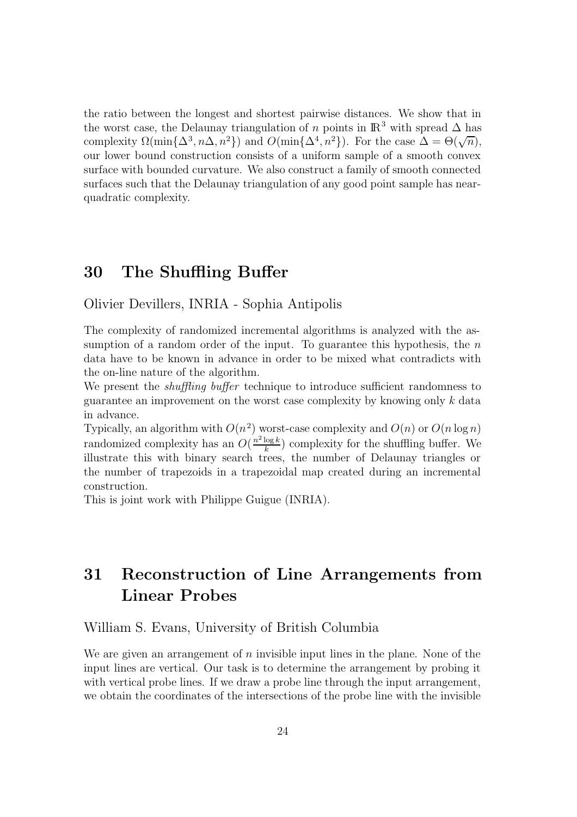the ratio between the longest and shortest pairwise distances. We show that in the worst case, the Delaunay triangulation of n points in  $\mathbb{R}^3$  with spread  $\Delta$  has complexity  $\Omega(\min\{\Delta^3, n\Delta, n^2\})$  and  $O(\min\{\Delta^4, n^2\})$ . For the case  $\Delta = \Theta(\sqrt{n})$ , our lower bound construction consists of a uniform sample of a smooth convex surface with bounded curvature. We also construct a family of smooth connected surfaces such that the Delaunay triangulation of any good point sample has nearquadratic complexity.

### 30 The Shuffling Buffer

Olivier Devillers, INRIA - Sophia Antipolis

The complexity of randomized incremental algorithms is analyzed with the assumption of a random order of the input. To guarantee this hypothesis, the  $n$ data have to be known in advance in order to be mixed what contradicts with the on-line nature of the algorithm.

We present the *shuffling buffer* technique to introduce sufficient randomness to guarantee an improvement on the worst case complexity by knowing only  $k$  data in advance.

Typically, an algorithm with  $O(n^2)$  worst-case complexity and  $O(n)$  or  $O(n \log n)$ randomized complexity has an  $O(\frac{n^2 \log k}{k})$  $\frac{\log k}{k}$ ) complexity for the shuffling buffer. We illustrate this with binary search trees, the number of Delaunay triangles or the number of trapezoids in a trapezoidal map created during an incremental construction.

This is joint work with Philippe Guigue (INRIA).

## 31 Reconstruction of Line Arrangements from Linear Probes

#### William S. Evans, University of British Columbia

We are given an arrangement of n invisible input lines in the plane. None of the input lines are vertical. Our task is to determine the arrangement by probing it with vertical probe lines. If we draw a probe line through the input arrangement, we obtain the coordinates of the intersections of the probe line with the invisible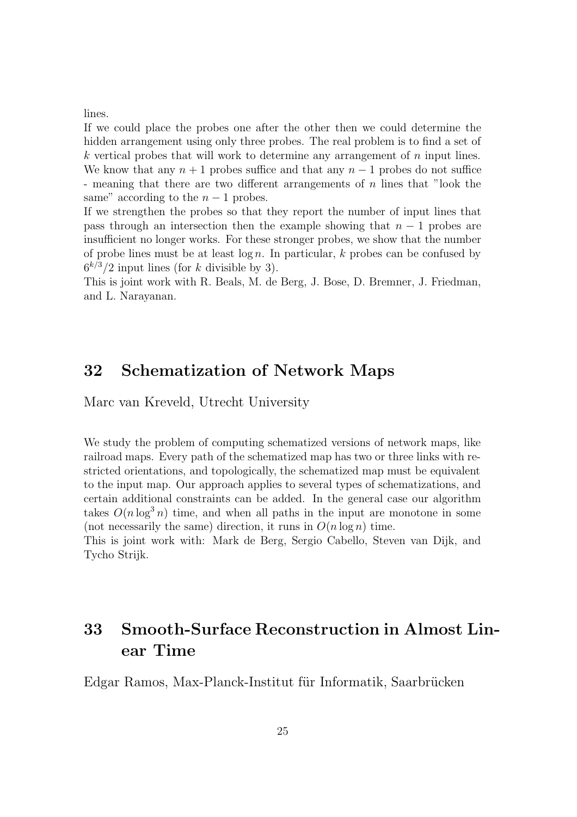lines.

If we could place the probes one after the other then we could determine the hidden arrangement using only three probes. The real problem is to find a set of  $k$  vertical probes that will work to determine any arrangement of  $n$  input lines. We know that any  $n + 1$  probes suffice and that any  $n - 1$  probes do not suffice - meaning that there are two different arrangements of n lines that "look the same" according to the  $n-1$  probes.

If we strengthen the probes so that they report the number of input lines that pass through an intersection then the example showing that  $n - 1$  probes are insufficient no longer works. For these stronger probes, we show that the number of probe lines must be at least  $\log n$ . In particular, k probes can be confused by  $6^{k/3}/2$  input lines (for k divisible by 3).

This is joint work with R. Beals, M. de Berg, J. Bose, D. Bremner, J. Friedman, and L. Narayanan.

### 32 Schematization of Network Maps

Marc van Kreveld, Utrecht University

We study the problem of computing schematized versions of network maps, like railroad maps. Every path of the schematized map has two or three links with restricted orientations, and topologically, the schematized map must be equivalent to the input map. Our approach applies to several types of schematizations, and certain additional constraints can be added. In the general case our algorithm takes  $O(n \log^3 n)$  time, and when all paths in the input are monotone in some (not necessarily the same) direction, it runs in  $O(n \log n)$  time.

This is joint work with: Mark de Berg, Sergio Cabello, Steven van Dijk, and Tycho Strijk.

## 33 Smooth-Surface Reconstruction in Almost Linear Time

Edgar Ramos, Max-Planck-Institut für Informatik, Saarbrücken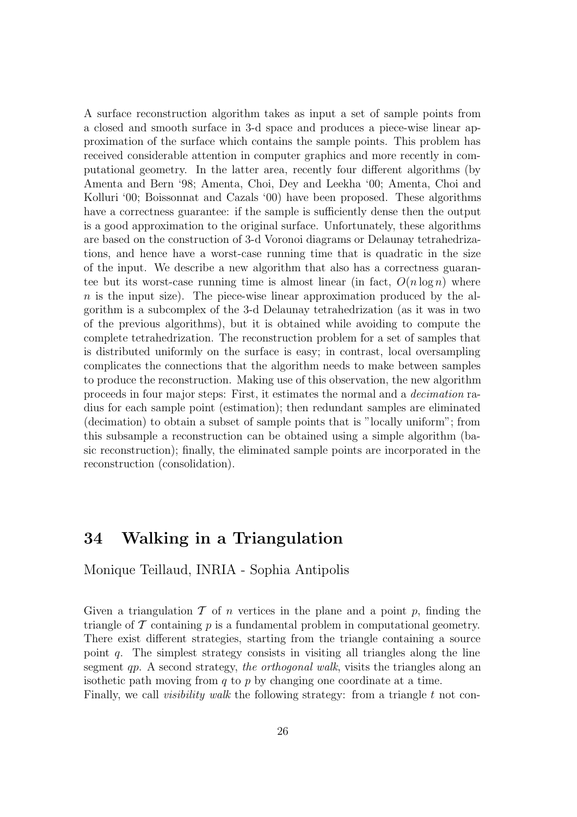A surface reconstruction algorithm takes as input a set of sample points from a closed and smooth surface in 3-d space and produces a piece-wise linear approximation of the surface which contains the sample points. This problem has received considerable attention in computer graphics and more recently in computational geometry. In the latter area, recently four different algorithms (by Amenta and Bern '98; Amenta, Choi, Dey and Leekha '00; Amenta, Choi and Kolluri '00; Boissonnat and Cazals '00) have been proposed. These algorithms have a correctness guarantee: if the sample is sufficiently dense then the output is a good approximation to the original surface. Unfortunately, these algorithms are based on the construction of 3-d Voronoi diagrams or Delaunay tetrahedrizations, and hence have a worst-case running time that is quadratic in the size of the input. We describe a new algorithm that also has a correctness guarantee but its worst-case running time is almost linear (in fact,  $O(n \log n)$ ) where  $n$  is the input size). The piece-wise linear approximation produced by the algorithm is a subcomplex of the 3-d Delaunay tetrahedrization (as it was in two of the previous algorithms), but it is obtained while avoiding to compute the complete tetrahedrization. The reconstruction problem for a set of samples that is distributed uniformly on the surface is easy; in contrast, local oversampling complicates the connections that the algorithm needs to make between samples to produce the reconstruction. Making use of this observation, the new algorithm proceeds in four major steps: First, it estimates the normal and a decimation radius for each sample point (estimation); then redundant samples are eliminated (decimation) to obtain a subset of sample points that is "locally uniform"; from this subsample a reconstruction can be obtained using a simple algorithm (basic reconstruction); finally, the eliminated sample points are incorporated in the reconstruction (consolidation).

### 34 Walking in a Triangulation

Monique Teillaud, INRIA - Sophia Antipolis

Given a triangulation  $\mathcal T$  of  $n$  vertices in the plane and a point  $p$ , finding the triangle of  $\mathcal T$  containing  $p$  is a fundamental problem in computational geometry. There exist different strategies, starting from the triangle containing a source point  $q$ . The simplest strategy consists in visiting all triangles along the line segment qp. A second strategy, the orthogonal walk, visits the triangles along an isothetic path moving from  $q$  to  $p$  by changing one coordinate at a time. Finally, we call *visibility walk* the following strategy: from a triangle t not con